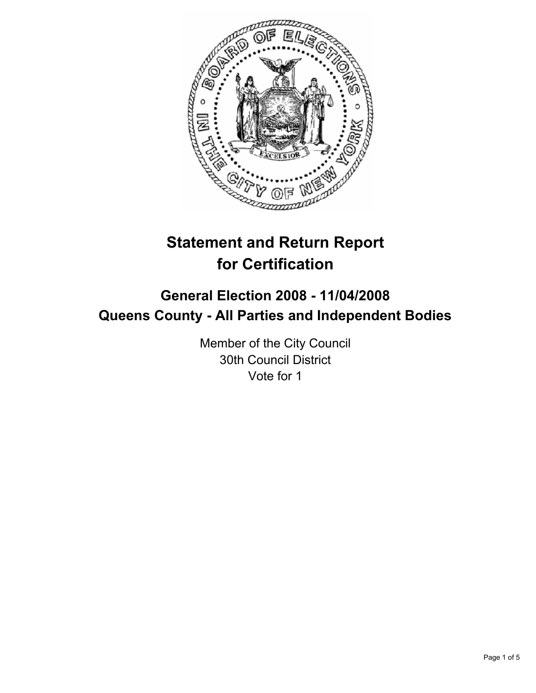

# **Statement and Return Report for Certification**

## **General Election 2008 - 11/04/2008 Queens County - All Parties and Independent Bodies**

Member of the City Council 30th Council District Vote for 1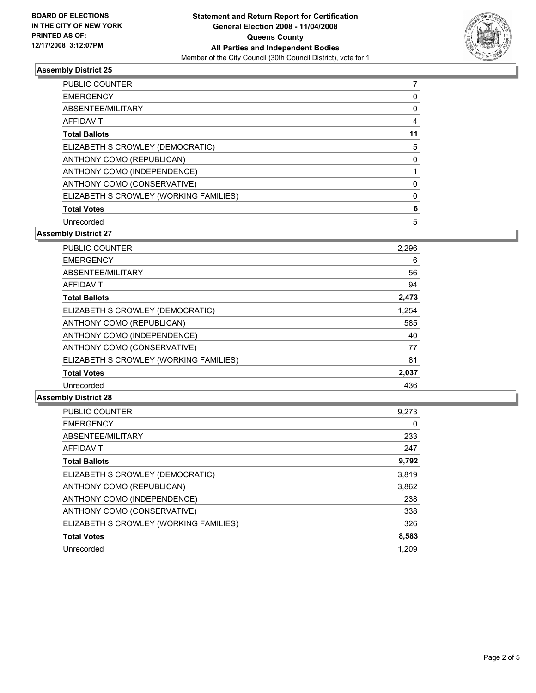

### **Assembly District 25**

| <b>PUBLIC COUNTER</b>                  |  |
|----------------------------------------|--|
| <b>EMERGENCY</b>                       |  |
| ABSENTEE/MILITARY                      |  |
| <b>AFFIDAVIT</b>                       |  |
| <b>Total Ballots</b>                   |  |
| ELIZABETH S CROWLEY (DEMOCRATIC)       |  |
| ANTHONY COMO (REPUBLICAN)              |  |
| ANTHONY COMO (INDEPENDENCE)            |  |
| ANTHONY COMO (CONSERVATIVE)            |  |
| ELIZABETH S CROWLEY (WORKING FAMILIES) |  |
| <b>Total Votes</b>                     |  |
| Unrecorded                             |  |

**Assembly District 27**

| <b>PUBLIC COUNTER</b>                  | 2,296 |
|----------------------------------------|-------|
| <b>EMERGENCY</b>                       | 6     |
| ABSENTEE/MILITARY                      | 56    |
| AFFIDAVIT                              | 94    |
| <b>Total Ballots</b>                   | 2,473 |
| ELIZABETH S CROWLEY (DEMOCRATIC)       | 1,254 |
| ANTHONY COMO (REPUBLICAN)              | 585   |
| ANTHONY COMO (INDEPENDENCE)            | 40    |
| ANTHONY COMO (CONSERVATIVE)            | 77    |
| ELIZABETH S CROWLEY (WORKING FAMILIES) | 81    |
| <b>Total Votes</b>                     | 2,037 |
| Unrecorded                             | 436   |

#### **Assembly District 28**

| PUBLIC COUNTER                         | 9,273 |
|----------------------------------------|-------|
| <b>EMERGENCY</b>                       | 0     |
| ABSENTEE/MILITARY                      | 233   |
| <b>AFFIDAVIT</b>                       | 247   |
| <b>Total Ballots</b>                   | 9,792 |
| ELIZABETH S CROWLEY (DEMOCRATIC)       | 3,819 |
| ANTHONY COMO (REPUBLICAN)              | 3,862 |
| ANTHONY COMO (INDEPENDENCE)            | 238   |
| ANTHONY COMO (CONSERVATIVE)            | 338   |
| ELIZABETH S CROWLEY (WORKING FAMILIES) | 326   |
| <b>Total Votes</b>                     | 8,583 |
| Unrecorded                             | 1.209 |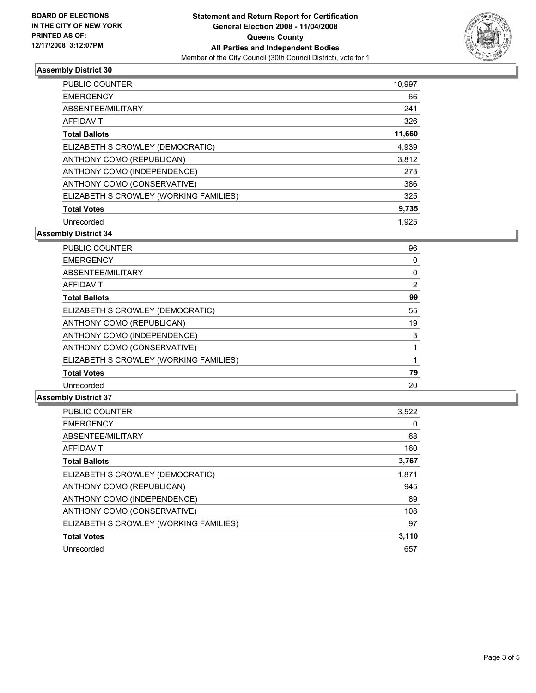

### **Assembly District 30**

| <b>PUBLIC COUNTER</b>                  | 10,997 |
|----------------------------------------|--------|
| <b>EMERGENCY</b>                       | 66     |
| ABSENTEE/MILITARY                      | 241    |
| AFFIDAVIT                              | 326    |
| <b>Total Ballots</b>                   | 11,660 |
| ELIZABETH S CROWLEY (DEMOCRATIC)       | 4,939  |
| ANTHONY COMO (REPUBLICAN)              | 3,812  |
| ANTHONY COMO (INDEPENDENCE)            | 273    |
| ANTHONY COMO (CONSERVATIVE)            | 386    |
| ELIZABETH S CROWLEY (WORKING FAMILIES) | 325    |
| <b>Total Votes</b>                     | 9,735  |
| Unrecorded                             | 1.925  |

**Assembly District 34**

| <b>PUBLIC COUNTER</b>                  | 96 |
|----------------------------------------|----|
| <b>EMERGENCY</b>                       | 0  |
| ABSENTEE/MILITARY                      |    |
| AFFIDAVIT                              | 2  |
| <b>Total Ballots</b>                   | 99 |
| ELIZABETH S CROWLEY (DEMOCRATIC)       | 55 |
| ANTHONY COMO (REPUBLICAN)              | 19 |
| ANTHONY COMO (INDEPENDENCE)            | 3  |
| ANTHONY COMO (CONSERVATIVE)            |    |
| ELIZABETH S CROWLEY (WORKING FAMILIES) |    |
| <b>Total Votes</b>                     | 79 |
| Unrecorded                             | 20 |

#### **Assembly District 37**

| <b>PUBLIC COUNTER</b>                  | 3,522 |
|----------------------------------------|-------|
| <b>EMERGENCY</b>                       | 0     |
| ABSENTEE/MILITARY                      | 68    |
| <b>AFFIDAVIT</b>                       | 160   |
| <b>Total Ballots</b>                   | 3,767 |
| ELIZABETH S CROWLEY (DEMOCRATIC)       | 1,871 |
| ANTHONY COMO (REPUBLICAN)              | 945   |
| ANTHONY COMO (INDEPENDENCE)            | 89    |
| ANTHONY COMO (CONSERVATIVE)            | 108   |
| ELIZABETH S CROWLEY (WORKING FAMILIES) | 97    |
| <b>Total Votes</b>                     | 3,110 |
| Unrecorded                             | 657   |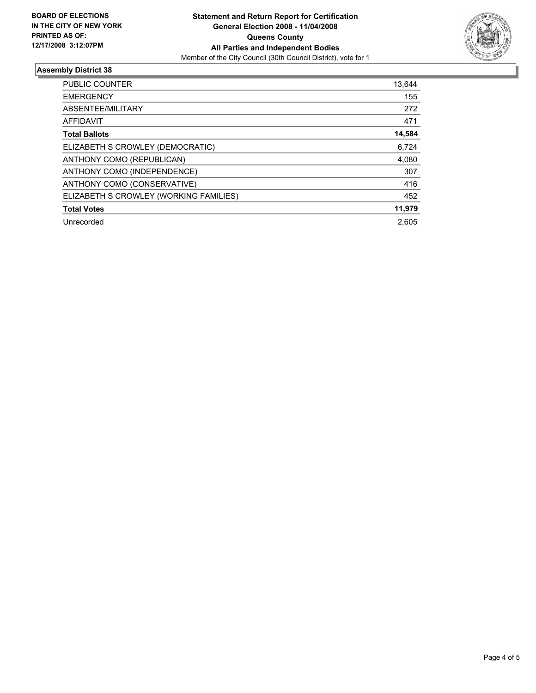

### **Assembly District 38**

| PUBLIC COUNTER                         | 13,644 |
|----------------------------------------|--------|
| <b>EMERGENCY</b>                       | 155    |
| ABSENTEE/MILITARY                      | 272    |
| AFFIDAVIT                              | 471    |
| <b>Total Ballots</b>                   | 14,584 |
| ELIZABETH S CROWLEY (DEMOCRATIC)       | 6,724  |
| ANTHONY COMO (REPUBLICAN)              | 4,080  |
| ANTHONY COMO (INDEPENDENCE)            | 307    |
| ANTHONY COMO (CONSERVATIVE)            | 416    |
| ELIZABETH S CROWLEY (WORKING FAMILIES) | 452    |
| <b>Total Votes</b>                     | 11,979 |
| Unrecorded                             | 2.605  |